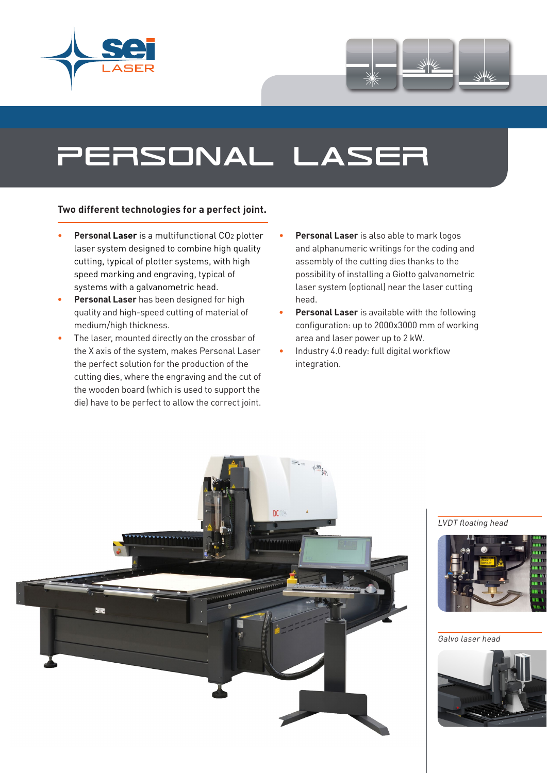



# personal laser

#### **Two different technologies for a perfect joint.**

- **Personal Laser** is a multifunctional CO<sub>2</sub> plotter laser system designed to combine high quality cutting, typical of plotter systems, with high speed marking and engraving, typical of systems with a galvanometric head.
- **• Personal Laser** has been designed for high quality and high-speed cutting of material of medium/high thickness.
- The laser, mounted directly on the crossbar of the X axis of the system, makes Personal Laser the perfect solution for the production of the cutting dies, where the engraving and the cut of the wooden board (which is used to support the die) have to be perfect to allow the correct joint.
- **Personal Laser** is also able to mark logos and alphanumeric writings for the coding and assembly of the cutting dies thanks to the possibility of installing a Giotto galvanometric laser system (optional) near the laser cutting head.
- **• Personal Laser** is available with the following configuration: up to 2000x3000 mm of working area and laser power up to 2 kW.
- Industry 4.0 ready: full digital workflow integration.



#### LVDT floating head



Galvo laser head